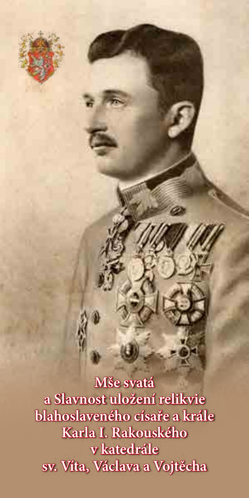**Mše svatá a Slavnost uložení relikvie blahoslaveného císaře a krále Karla I. Rakouského v katedrále sv. Víta, Václava a Vojtěcha**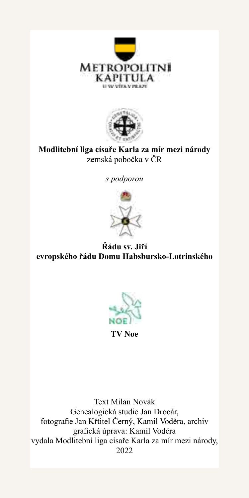



### **Modlitební liga císaře Karla za mír mezi národy**  zemská pobočka v ČR

*s podporou*



**Řádu sv. Jiří evropského řádu Domu Habsbursko-Lotrinského**



Text Milan Novák Genealogická studie Jan Drocár, fotografie Jan Křtitel Černý, Kamil Voděra, archiv grafická úprava: Kamil Voděra vydala Modlitební liga císaře Karla za mír mezi národy, 2022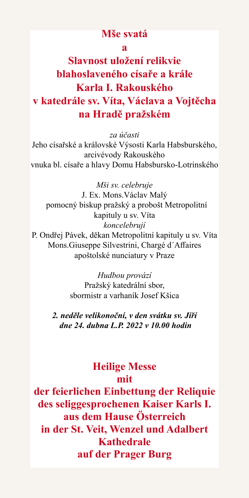# **Mše svatá**

**a**

**Slavnost uložení relikvie blahoslaveného císaře a krále Karla I. Rakouského v katedrále sv. Víta, Václava a Vojtěcha na Hradě pražském**

*za účasti*

Jeho císařské a královské Výsosti Karla Habsburského, arcivévody Rakouského vnuka bl. císaře a hlavy Domu Habsbursko-Lotrinského

*Mši sv. celebruje* J. Ex. Mons.Václav Malý pomocný biskup pražský a probošt Metropolitní kapituly u sv. Víta *koncelebrují* P. Ondřej Pávek, děkan Metropolitní kapituly u sv. Víta Mons.Giuseppe Silvestrini, Chargé d´Affaires apoštolské nunciatury v Praze

> *Hudbou provází*  Pražský katedrální sbor, sbormistr a varhaník Josef Kšica

*2. neděle velikonoční, v den svátku sv. Jiří dne 24. dubna L.P. 2022 v 10.00 hodin*

# **Heilige Messe mit**

**der feierlichen Einbettung der Reliquie des seliggesprochenen Kaiser Karls I. aus dem Hause Österreich in der St. Veit, Wenzel und Adalbert Kathedrale auf der Prager Burg**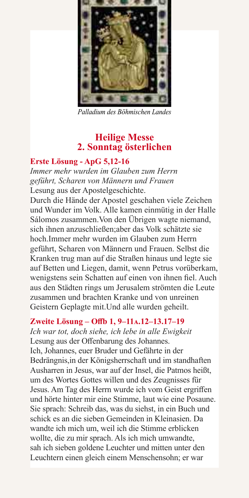

*Palladium des Böhmischen Landes*

# **Heilige Messe 2. Sonntag österlichen**

# **Erste Lösung - ApG 5,12-16**

*Immer mehr wurden im Glauben zum Herrn geführt, Scharen von Männern und Frauen*  Lesung aus der Apostelgeschichte.

Durch die Hände der Apostel geschahen viele Zeichen und Wunder im Volk. Alle kamen einmütig in der Halle Sálomos zusammen.Von den Übrigen wagte niemand, sich ihnen anzuschließen;aber das Volk schätzte sie hoch.Immer mehr wurden im Glauben zum Herrn geführt, Scharen von Männern und Frauen. Selbst die Kranken trug man auf die Straßen hinaus und legte sie auf Betten und Liegen, damit, wenn Petrus vorüberkam, wenigstens sein Schatten auf einen von ihnen fiel. Auch aus den Städten rings um Jerusalem strömten die Leute zusammen und brachten Kranke und von unreinen Geistern Geplagte mit.Und alle wurden geheilt.

# **Zweite Lösung – Offb 1, 9–11a.12–13.17–19**

*Ich war tot, doch siehe, ich lebe in alle Ewigkeit*  Lesung aus der Offenbarung des Johannes. Ich, Johannes, euer Bruder und Gefährte in der Bedrängnis,in der Königsherrschaft und im standhaften Ausharren in Jesus, war auf der Insel, die Patmos heißt, um des Wortes Gottes willen und des Zeugnisses für Jesus. Am Tag des Herrn wurde ich vom Geist ergriffen und hörte hinter mir eine Stimme, laut wie eine Posaune. Sie sprach: Schreib das, was du siehst, in ein Buch und schick es an die sieben Gemeinden in Kleinasien. Da wandte ich mich um, weil ich die Stimme erblicken wollte, die zu mir sprach. Als ich mich umwandte, sah ich sieben goldene Leuchter und mitten unter den Leuchtern einen gleich einem Menschensohn; er war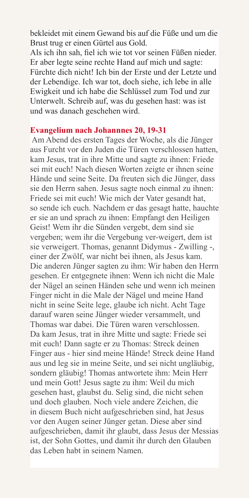bekleidet mit einem Gewand bis auf die Füße und um die Brust trug er einen Gürtel aus Gold.

Als ich ihn sah, fiel ich wie tot vor seinen Füßen nieder. Er aber legte seine rechte Hand auf mich und sagte: Fürchte dich nicht! Ich bin der Erste und der Letzte und der Lebendige. Ich war tot, doch siehe, ich lebe in alle Ewigkeit und ich habe die Schlüssel zum Tod und zur Unterwelt. Schreib auf, was du gesehen hast: was ist und was danach geschehen wird.

#### **Evangelium nach Johannnes 20, 19-31**

Am Abend des ersten Tages der Woche, als die Jünger aus Furcht vor den Juden die Türen verschlossen hatten, kam Jesus, trat in ihre Mitte und sagte zu ihnen: Friede sei mit euch! Nach diesen Worten zeigte er ihnen seine Hände und seine Seite. Da freuten sich die Jünger, dass sie den Herrn sahen. Jesus sagte noch einmal zu ihnen: Friede sei mit euch! Wie mich der Vater gesandt hat, so sende ich euch. Nachdem er das gesagt hatte, hauchte er sie an und sprach zu ihnen: Empfangt den Heiligen Geist! Wem ihr die Sünden vergebt, dem sind sie vergeben; wem ihr die Vergebung ver-weigert, dem ist sie verweigert. Thomas, genannt Didymus - Zwilling -, einer der Zwölf, war nicht bei ihnen, als Jesus kam. Die anderen Jünger sagten zu ihm: Wir haben den Herrn gesehen. Er entgegnete ihnen: Wenn ich nicht die Male der Nägel an seinen Händen sehe und wenn ich meinen Finger nicht in die Male der Nägel und meine Hand nicht in seine Seite lege, glaube ich nicht. Acht Tage darauf waren seine Jünger wieder versammelt, und Thomas war dabei. Die Türen waren verschlossen. Da kam Jesus, trat in ihre Mitte und sagte: Friede sei mit euch! Dann sagte er zu Thomas: Streck deinen Finger aus - hier sind meine Hände! Streck deine Hand aus und leg sie in meine Seite, und sei nicht ungläubig, sondern gläubig! Thomas antwortete ihm: Mein Herr und mein Gott! Jesus sagte zu ihm: Weil du mich gesehen hast, glaubst du. Selig sind, die nicht sehen und doch glauben. Noch viele andere Zeichen, die in diesem Buch nicht aufgeschrieben sind, hat Jesus vor den Augen seiner Jünger getan. Diese aber sind aufgeschrieben, damit ihr glaubt, dass Jesus der Messias ist, der Sohn Gottes, und damit ihr durch den Glauben das Leben habt in seinem Namen.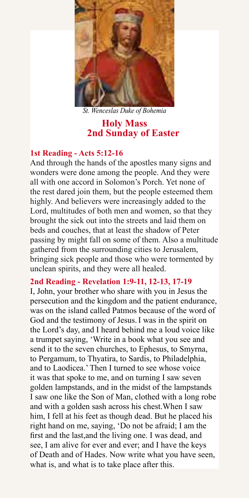

*St. Wenceslas Duke of Bohemia*

# **Holy Mass 2nd Sunday of Easter**

## **1st Reading - Acts 5:12-16**

And through the hands of the apostles many signs and wonders were done among the people. And they were all with one accord in Solomon's Porch. Yet none of the rest dared join them, but the people esteemed them highly. And believers were increasingly added to the Lord, multitudes of both men and women, so that they brought the sick out into the streets and laid them on beds and couches, that at least the shadow of Peter passing by might fall on some of them. Also a multitude gathered from the surrounding cities to Jerusalem, bringing sick people and those who were tormented by unclean spirits, and they were all healed.

## **2nd Reading - Revelation 1:9-11, 12-13, 17-19**

I, John, your brother who share with you in Jesus the persecution and the kingdom and the patient endurance, was on the island called Patmos because of the word of God and the testimony of Jesus.I was in the spirit on the Lord's day, and I heard behind me a loud voice like a trumpet saying, 'Write in a book what you see and send it to the seven churches, to Ephesus, to Smyrna, to Pergamum, to Thyatira, to Sardis, to Philadelphia, and to Laodicea.' Then I turned to see whose voice it was that spoke to me, and on turning I saw seven golden lampstands, and in the midst of the lampstands I saw one like the Son of Man, clothed with a long robe and with a golden sash across his chest.When I saw him, I fell at his feet as though dead. But he placed his right hand on me, saying, 'Do not be afraid; I am the first and the last,and the living one. I was dead, and see, I am alive for ever and ever; and I have the keys of Death and of Hades. Now write what you have seen, what is, and what is to take place after this.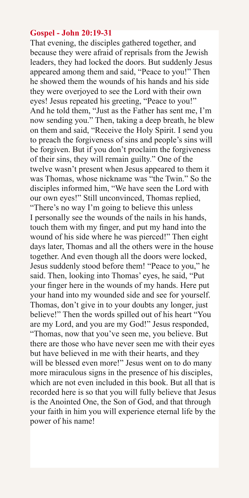#### **Gospel - John 20:19-31**

That evening, the disciples gathered together, and because they were afraid of reprisals from the Jewish leaders, they had locked the doors. But suddenly Jesus appeared among them and said, "Peace to you!" Then he showed them the wounds of his hands and his side they were overjoyed to see the Lord with their own eyes! Jesus repeated his greeting, "Peace to you!" And he told them, "Just as the Father has sent me, I'm now sending you." Then, taking a deep breath, he blew on them and said, "Receive the Holy Spirit. I send you to preach the forgiveness of sins and people's sins will be forgiven. But if you don't proclaim the forgiveness of their sins, they will remain guilty." One of the twelve wasn't present when Jesus appeared to them it was Thomas, whose nickname was "the Twin." So the disciples informed him, "We have seen the Lord with our own eyes!" Still unconvinced, Thomas replied, "There's no way I'm going to believe this unless I personally see the wounds of the nails in his hands, touch them with my finger, and put my hand into the wound of his side where he was pierced!" Then eight days later, Thomas and all the others were in the house together. And even though all the doors were locked, Jesus suddenly stood before them! "Peace to you," he said. Then, looking into Thomas' eyes, he said, "Put your finger here in the wounds of my hands. Here put your hand into my wounded side and see for yourself. Thomas, don't give in to your doubts any longer, just believe!" Then the words spilled out of his heart "You are my Lord, and you are my God!" Jesus responded, "Thomas, now that you've seen me, you believe. But there are those who have never seen me with their eyes but have believed in me with their hearts, and they will be blessed even more!" Jesus went on to do many more miraculous signs in the presence of his disciples, which are not even included in this book. But all that is recorded here is so that you will fully believe that Jesus is the Anointed One, the Son of God, and that through your faith in him you will experience eternal life by the power of his name!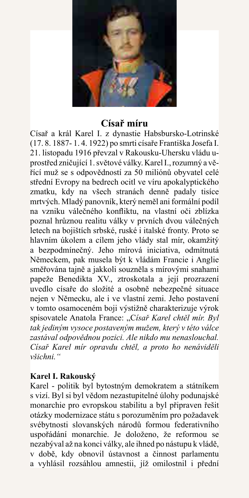

## **Císař míru**

Císař a král Karel I. z dynastie Habsbursko-Lotrinské (17. 8. 1887- 1. 4. 1922) po smrti císaře Františka Josefa I. 21. listopadu 1916 převzal v Rakousku-Uhersku vládu uprostřed zničující 1. světové války. Karel I., rozumný a věřící muž se s odpovědností za 50 miliónů obyvatel celé střední Evropy na bedrech ocitl ve víru apokalyptického zmatku, kdy na všech stranách denně padaly tisíce mrtvých. Mladý panovník, který neměl ani formální podíl na vzniku válečného konfliktu, na vlastní oči zblízka poznal hrůznou realitu války v prvních dvou válečných letech na bojištích srbské, ruské i italské fronty. Proto se hlavním úkolem a cílem jeho vlády stal mír, okamžitý a bezpodmínečný. Jeho mírová iniciativa, odmítnutá Německem, pak musela být k vládám Francie i Anglie směřována tajně a jakkoli souzněla s mírovými snahami papeže Benedikta XV., ztroskotala a její prozrazení uvedlo císaře do složité a osobně nebezpečné situace nejen v Německu, ale i ve vlastní zemi. Jeho postavení v tomto osamoceném boji výstižně charakterizuje výrok spisovatele Anatola France: "Císař Karel chtěl mír. Byl *tak jediným vysoce postaveným mužem, který v této válce zastával odpovědnou pozici. Ale nikdo mu nenaslouchal. Císař Karel mír opravdu chtěl, a proto ho nenáviděli všichni."* 

#### **Karel I. Rakouský**

Karel - politik byl bytostným demokratem a státníkem s vizí. Byl si byl vědom nezastupitelné úlohy podunajské monarchie pro evropskou stabilitu a byl připraven řešit otázky modernizace státu s porozuměním pro požadavek svébytnosti slovanských národů formou federativního uspořádání monarchie. Je doloženo, že reformou se nezabýval až na konci války, ale ihned po nástupu k vládě, v době, kdy obnovil ústavnost a činnost parlamentu a vyhlásil rozsáhlou amnestii, jíž omilostnil i přední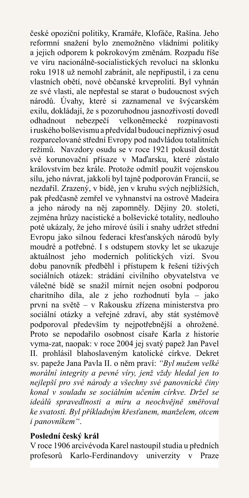české opoziční politiky, Kramáře, Klofáče, Rašína. Jeho reformní snažení bylo znemožněno vládními politiky a jejich odporem k pokrokovým změnám. Rozpadu říše ve víru nacionálně-socialistických revolucí na sklonku roku 1918 už nemohl zabránit, ale nepřipustil, i za cenu vlastních obětí, nové občanské krveprolití. Byl vyhnán ze své vlasti, ale nepřestal se starat o budoucnost svých národů. Úvahy, které si zaznamenal ve švýcarském exilu, dokládají, že s pozoruhodnou jasnozřivostí dovedl odhadnout nebezpečí velkoněmecké rozpínavosti i ruského bolševismu a předvídal budoucí nepříznivý osud rozparcelované střední Evropy pod nadvládou totalitních režimů. Navzdory osudu se v roce 1921 pokusil dostát své korunovační přísaze v Maďarsku, které zůstalo královstvím bez krále. Protože odmítl použít vojenskou sílu, jeho návrat, jakkoli byl tajně podporován Francií, se nezdařil. Zrazený, v bídě, jen v kruhu svých nejbližších, pak předčasně zemřel ve vyhnanství na ostrově Madeira a jeho národy na něj zapomněly. Dějiny 20. století, zejména hrůzy nacistické a bolševické totality, nedlouho poté ukázaly, že jeho mírové úsilí i snahy udržet střední Evropu jako silnou federaci křesťanských národů byly moudré a potřebné. I s odstupem stovky let se ukazuje aktuálnost jeho moderních politických vizí. Svou dobu panovník předběhl i přístupem k řešení tíživých sociálních otázek: strádání civilního obyvatelstva ve válečné bídě se snažil mírnit nejen osobní podporou charitního díla, ale z jeho rozhodnutí byla – jako první na světě – v Rakousku zřízena ministerstva pro sociální otázky a veřejné zdraví, aby stát systémově podporoval především ty nejpotřebnější a ohrožené. Proto se nepodařilo osobnost císaře Karla z historie vyma-zat, naopak: v roce 2004 jej svatý papež Jan Pavel II. prohlásil blahoslaveným katolické církve. Dekret sv. papeže Jana Pavla II. o něm praví: *"Byl mužem velké morální integrity a pevné víry, jenž vždy hledal jen to nejlepší pro své národy a všechny své panovnické činy konal v souladu se sociálním učením církve. Držel se ideálů spravedlnosti a míru a neochvějně směřoval ke svatosti. Byl příkladným křesťanem, manželem, otcem i panovníkem"*.

### **Poslední český král**

V roce 1906 arcivévoda Karel nastoupil studia u předních profesorů Karlo-Ferdinandovy univerzity v Praze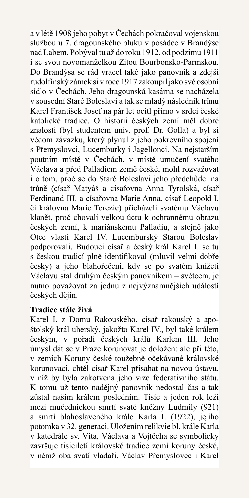a v létě 1908 jeho pobyt v Čechách pokračoval vojenskou službou u 7. dragounského pluku v posádce v Brandýse nad Labem. Pobýval tu až do roku 1912, od podzimu 1911 i se svou novomanželkou Zitou Bourbonsko-Parmskou. Do Brandýsa se rád vracel také jako panovník a zdejší rudolfínský zámek si v roce 1917 zakoupil jako své osobní sídlo v Čechách. Jeho dragounská kasárna se nacházela v sousední Staré Boleslavi a tak se mladý následník trůnu Karel František Josef na pár let ocitl přímo v srdci české katolické tradice. O historii českých zemí měl dobré znalosti (byl studentem univ. prof. Dr. Golla) a byl si vědom závazku, který plynul z jeho pokrevního spojení s Přemyslovci, Lucemburky i Jagellonci. Na nejstarším poutním místě v Čechách, v místě umučení svatého Václava a před Palladiem země české, mohl rozvažovat i o tom, proč se do Staré Boleslavi jeho předchůdci na trůně (císař Matyáš a císařovna Anna Tyrolská, císař Ferdinand III. a císařovna Marie Anna, císař Leopold I. či královna Marie Terezie) přicházeli svatému Václavu klanět, proč chovali velkou úctu k ochrannému obrazu českých zemí, k mariánskému Palladiu, a stejně jako Otec vlasti Karel IV. Lucemburský Starou Boleslav podporovali. Budoucí císař a český král Karel I. se tu s českou tradicí plně identifikoval (mluvil velmi dobře česky) a jeho blahořečení, kdy se po svatém knížeti Václavu stal druhým českým panovníkem – světcem, je nutno považovat za jednu z nejvýznamnějších událostí českých dějin.

### **Tradice stále živá**

Karel I. z Domu Rakouského, císař rakouský a apoštolský král uherský, jakožto Karel IV., byl také králem českým, v pořadí českých králů Karlem III. Jeho úmysl dát se v Praze korunovat je doložen: ale při této, v zemích Koruny české toužebně očekávané královské korunovaci, chtěl císař Karel přísahat na novou ústavu, v níž by byla zakotvena jeho vize federativního státu. K tomu už tento nadějný panovník nedostal čas a tak zůstal naším králem posledním. Tisíc a jeden rok leží mezi mučednickou smrtí svaté kněžny Ludmily (921) a smrtí blahoslaveného krále Karla I. (1922), jejího potomka v 32. generaci. Uložením relikvie bl. krále Karla v katedrále sv. Víta, Václava a Vojtěcha se symbolicky završuje tisíciletí královské tradice zemí koruny české, v němž oba svatí vladaři, Václav Přemyslovec i Karel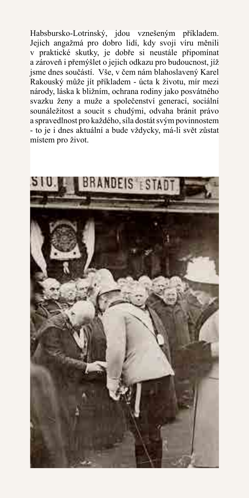Habsbursko-Lotrinský, jdou vznešeným příkladem. Jejich angažmá pro dobro lidí, kdy svoji víru měnili v praktické skutky, je dobře si neustále připomínat a zároveň i přemýšlet o jejich odkazu pro budoucnost, jíž jsme dnes součástí. Vše, v čem nám blahoslavený Karel Rakouský může jít příkladem - úcta k životu, mír mezi národy, láska k bližním, ochrana rodiny jako posvátného svazku ženy a muže a společenství generací, sociální sounáležitost a soucit s chudými, odvaha bránit právo a spravedlnost pro každého, síla dostát svým povinnostem - to je i dnes aktuální a bude vždycky, má-li svět zůstat místem pro život.

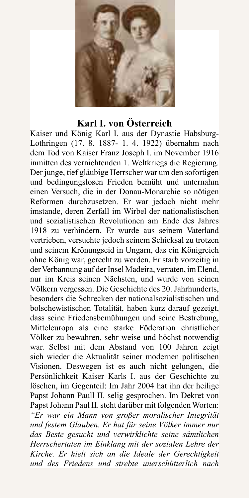

# **Karl I. von Österreich**

Kaiser und König Karl I. aus der Dynastie Habsburg-Lothringen (17. 8. 1887- 1. 4. 1922) übernahm nach dem Tod von Kaiser Franz Joseph I. im November 1916 inmitten des vernichtenden 1. Weltkriegs die Regierung. Der junge, tief gläubige Herrscher war um den sofortigen und bedingungslosen Frieden bemüht und unternahm einen Versuch, die in der Donau-Monarchie so nötigen Reformen durchzusetzen. Er war jedoch nicht mehr imstande, deren Zerfall im Wirbel der nationalistischen und sozialistischen Revolutionen am Ende des Jahres 1918 zu verhindern. Er wurde aus seinem Vaterland vertrieben, versuchte jedoch seinem Schicksal zu trotzen und seinem Krönungseid in Ungarn, das ein Königreich ohne König war, gerecht zu werden. Er starb vorzeitig in der Verbannung auf der Insel Madeira, verraten, im Elend, nur im Kreis seinen Nächsten, und wurde von seinen Völkern vergessen. Die Geschichte des 20. Jahrhunderts, besonders die Schrecken der nationalsozialistischen und bolschewistischen Totalität, haben kurz darauf gezeigt, dass seine Friedensbemühungen und seine Bestrebung, Mitteleuropa als eine starke Föderation christlicher Völker zu bewahren, sehr weise und höchst notwendig war. Selbst mit dem Abstand von 100 Jahren zeigt sich wieder die Aktualität seiner modernen politischen Visionen. Deswegen ist es auch nicht gelungen, die Persönlichkeit Kaiser Karls I. aus der Geschichte zu löschen, im Gegenteil: Im Jahr 2004 hat ihn der heilige Papst Johann Paull II. selig gesprochen. Im Dekret von Papst Johann Paul II. steht darüber mit folgenden Worten: *"Er war ein Mann von großer moralischer Integrität und festem Glauben. Er hat für seine Völker immer nur das Beste gesucht und verwirklichte seine sämtlichen Herrschertaten im Einklang mit der sozialen Lehre der Kirche. Er hielt sich an die Ideale der Gerechtigkeit und des Friedens und strebte unerschütterlich nach*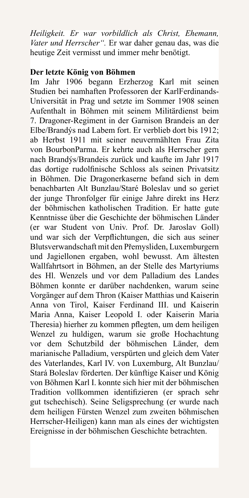*Heiligkeit. Er war vorbildlich als Christ, Ehemann, Vater und Herrscher".* Er war daher genau das, was die heutige Zeit vermisst und immer mehr benötigt.

### **Der letzte König von Böhmen**

Im Jahr 1906 begann Erzherzog Karl mit seinen Studien bei namhaften Professoren der KarlFerdinands-Universität in Prag und setzte im Sommer 1908 seinen Aufenthalt in Böhmen mit seinem Militärdienst beim 7. Dragoner-Regiment in der Garnison Brandeis an der Elbe/Brandýs nad Labem fort. Er verblieb dort bis 1912; ab Herbst 1911 mit seiner neuvermählten Frau Zita von BourbonParma. Er kehrte auch als Herrscher gern nach Brandýs/Brandeis zurück und kaufte im Jahr 1917 das dortige rudolfinische Schloss als seinen Privatsitz in Böhmen. Die Dragonerkaserne befand sich in dem benachbarten Alt Bunzlau/Staré Boleslav und so geriet der junge Thronfolger für einige Jahre direkt ins Herz der böhmischen katholischen Tradition. Er hatte gute Kenntnisse über die Geschichte der böhmischen Länder (er war Student von Univ. Prof. Dr. Jaroslav Goll) und war sich der Verpflichtungen, die sich aus seiner Blutsverwandschaft mit den Přemysliden, Luxemburgern und Jagiellonen ergaben, wohl bewusst. Am ältesten Wallfahrtsort in Böhmen, an der Stelle des Martyriums des Hl. Wenzels und vor dem Palladium des Landes Böhmen konnte er darüber nachdenken, warum seine Vorgänger auf dem Thron (Kaiser Matthias und Kaiserin Anna von Tirol, Kaiser Ferdinand III. und Kaiserin Maria Anna, Kaiser Leopold I. oder Kaiserin Maria Theresia) hierher zu kommen pflegten, um dem heiligen Wenzel zu huldigen, warum sie große Hochachtung vor dem Schutzbild der böhmischen Länder, dem marianische Palladium, verspürten und gleich dem Vater des Vaterlandes, Karl IV. von Luxemburg, Alt Bunzlau/ Stará Boleslav förderten. Der künftige Kaiser und König von Böhmen Karl I. konnte sich hier mit der böhmischen Tradition vollkommen identifizieren (er sprach sehr gut tschechisch). Seine Seligsprechung (er wurde nach dem heiligen Fürsten Wenzel zum zweiten böhmischen Herrscher-Heiligen) kann man als eines der wichtigsten Ereignisse in der böhmischen Geschichte betrachten.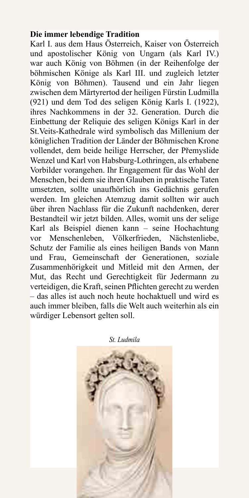### **Die immer lebendige Tradition**

Karl I. aus dem Haus Österreich, Kaiser von Österreich und apostolischer König von Ungarn (als Karl IV.) war auch König von Böhmen (in der Reihenfolge der böhmischen Könige als Karl III. und zugleich letzter König von Böhmen). Tausend und ein Jahr liegen zwischen dem Märtyrertod der heiligen Fürstin Ludmilla (921) und dem Tod des seligen König Karls I. (1922), ihres Nachkommens in der 32. Generation. Durch die Einbettung der Reliquie des seligen Königs Karl in der St.Veits-Kathedrale wird symbolisch das Millenium der königlichen Tradition der Länder der Böhmischen Krone vollendet, dem beide heilige Herrscher, der Přemyslide Wenzel und Karl von Habsburg-Lothringen, als erhabene Vorbilder vorangehen. Ihr Engagement für das Wohl der Menschen, bei dem sie ihren Glauben in praktische Taten umsetzten, sollte unaufhörlich ins Gedächnis gerufen werden. Im gleichen Atemzug damit sollten wir auch über ihren Nachlass für die Zukunft nachdenken, derer Bestandteil wir jetzt bilden. Alles, womit uns der selige Karl als Beispiel dienen kann – seine Hochachtung vor Menschenleben, Völkerfrieden, Nächstenliebe, Schutz der Familie als eines heiligen Bands von Mann und Frau, Gemeinschaft der Generationen, soziale Zusammenhörigkeit und Mitleid mit den Armen, der Mut, das Recht und Gerechtigkeit für Jedermann zu verteidigen, die Kraft, seinen Pflichten gerecht zu werden – das alles ist auch noch heute hochaktuell und wird es auch immer bleiben, falls die Welt auch weiterhin als ein würdiger Lebensort gelten soll.



*St. Ludmila*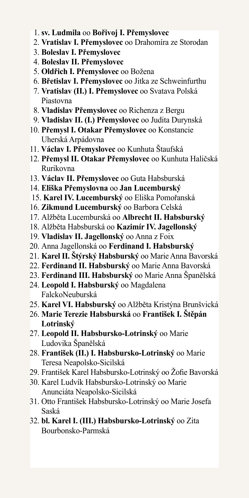- 1. **sv. Ludmila** oo **Bořivoj I. Přemyslovec**
- 2. **Vratislav I. Přemyslovec** oo Drahomíra ze Storodan
- 3. **Boleslav I. Přemyslovec**
- 4. **Boleslav II. Přemyslovec**
- 5. **Oldřich I. Přemyslovec** oo Božena
- 6. **Břetislav I. Přemyslovec** oo Jitka ze Schweinfurthu
- 7. **Vratislav (II.) I. Přemyslovec** oo Svatava Polská Piastovna
- 8. **Vladislav Přemyslovec** oo Richenza z Bergu
- 9. **Vladislav II. (I.) Přemyslovec** oo Judita Durynská
- 10. **Přemysl I. Otakar Přemyslovec** oo Konstancie Uherská Arpádovna
- 11. **Václav I. Přemyslovec** oo Kunhuta Štaufská
- 12. **Přemysl II. Otakar Přemyslovec** oo Kunhuta Haličská Rurikovna
- 13. **Václav II. Přemyslovec** oo Guta Habsburská
- 14. **Eliška Přemyslovna** oo **Jan Lucemburský**
- 15. **Karel IV. Lucemburský** oo Eliška Pomořanská
- 16. **Zikmund Lucemburský** oo Barbora Celská
- 17. Alžběta Lucemburská oo **Albrecht II. Habsburský**
- 18. Alžběta Habsburská oo **Kazimír IV. Jagellonský**
- 19. **Vladislav II. Jagellonský** oo Anna z Foix
- 20. Anna Jagellonská oo **Ferdinand I. Habsburský**
- 21. **Karel II. Štýrský Habsburský** oo Marie Anna Bavorská
- 22. **Ferdinand II. Habsburský** oo Marie Anna Bavorská
- 23. **Ferdinand III. Habsburský** oo Marie Anna Španělská
- 24. **Leopold I. Habsburský** oo Magdalena FalckoNeuburská
- 25. **Karel VI. Habsburský** oo Alžběta Kristýna Brunšvická
- 26. **Marie Terezie Habsburská** oo **František I. Štěpán Lotrinský**
- 27. **Leopold II. Habsbursko-Lotrinský** oo Marie Ludovika Španělská
- 28. **František (II.) I. Habsbursko-Lotrinský** oo Marie Teresa Neapolsko-Sicilská
- 29. František Karel Habsbursko-Lotrinský oo Žofie Bavorská
- 30. Karel Ludvík Habsbursko-Lotrinský oo Marie Anunciáta Neapolsko-Sicilská
- 31. Otto František Habsbursko-Lotrinský oo Marie Josefa Saská
- 32. **bl. Karel I. (III.) Habsbursko-Lotrinský** oo Zita Bourbonsko-Parmská